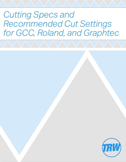# *Cutting Specs and Recommended Cut Settings for GCC, Roland, and Graphtec*

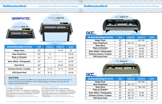## GRAPHTEC

### *TheRhinestoneWorld Cutting Specs and Recommended Cut Settings TheRhinestoneWorld Cutting Specs and Recommended Cut Settings*

- 
- 
- 
- 
- 
- *Cut settings may slightly vary depending on cutter and blade usage. Cut settings may slightly vary depending on cutter and blade usage.*

| <b>Recommended Settings For First Cut</b>            | Blade        | <b>Single Cut</b> | Double Cut | Speed |
|------------------------------------------------------|--------------|-------------------|------------|-------|
| <b>Magic Flock</b>                                   | $60^\circ$   |                   | $14 - 16$  | 35    |
| <b>Siser StripFlock</b>                              | $60^\circ$   | 15                |            | 30-50 |
| <b>Siser or Chemica</b><br>(Non-Glitter/Non-Leather) | $45^\circ$   | $9 - 11$          |            | 50-60 |
| <b>Siser Glitter / Holographic</b>                   | $60^\circ$   |                   | $12 - 14$  | 50-60 |
| <b>Siser Brick</b>                                   | $60^\circ$   |                   | $26 - 28$  | 30-50 |
| <b>Chemica Carbon / Leather</b>                      | $60^\circ$   | $14 - 16$         | $12 - 14$  | 50-60 |
| <b>FDC Decal Vinyl</b>                               | $45^{\circ}$ | $8 - 10$          |            | 50-60 |

#### Graphtec CE6000-40

- *14.76" Maximum Cutting Width*
- *Servo Motor Technology Up to 300 grams of cutting force*
- *Up to 24 ips (inches per second) LCD Screen 8 User Settings*
- *Comes with Graphtec Studio and Cutting Master 3 Software*
- *ARMS System (Automatic Registration Mark Sensor)*
- *1 Year Warranty (2 Year Warranty if registered within 30 days)*



| Force |  |  |
|-------|--|--|
|       |  |  |

*Cutting* 

#### Graphtec CE6000-60

**Siser Glitter / Holographic Chemica Carbon / Leather** *65° 90-110 70-90 60*

*- 23.7" Maximum Cutting Width - Comes with Stand -Servo Motor Technology - Up to 300 grams of cutting force - Up to 35 ips (inches per second) - LCD Screen - 8 User Settings - Comes with Graphtec Studio and Cutting Master 3 Software - ARMS System (Automatic Registration Mark Sensor) - 1 Year Warranty (2 Year Warranty if registered within 30 days)*



*Recommended Settings For First L* 

**Magic Flock** 

**Siser StripFlock** 

**Siser or Chemica** 

**Siser Glitter / Holographic** 



#### *Speed Settings*

For most cuts, speed will be around **60**. As you create designs that are smaller and more intricate *(under 5"),* speed should be decreased to **30**. If you notice the blade dragging or "picking at" your vinyl with small designs, decrease speed further.



#### GCC **Puma III**

| <b>Example Settings For First Cut</b>              | <b>Blade</b> | <b>Single Cut</b> | Double Cut | Speed |
|----------------------------------------------------|--------------|-------------------|------------|-------|
| <b>Magic Flock</b>                                 | $65^\circ$   |                   | 80-100     | 50    |
| <b>iser StripFlock</b>                             | $65^\circ$   | 90-110            |            | 60    |
| <b>Siser Brick</b>                                 | $65^\circ$   |                   | 100-120    | 60    |
| <b>Ser or Chemica</b><br>(Non-Glitter/Non-Leather) | $45^\circ$   | 60-70             | 40-60      | 60    |
| <b>Slitter / Holographic</b>                       | $65^\circ$   | 90-110            | 70-90      | 60    |
| ca Carbon / Leather                                | $65^\circ$   | 60-70             | 50-70      | 60    |
| <b>DC Decal Vinyl</b>                              | $45^\circ$   | 60-70             | 40-60      | 60    |

**Chemica Carbon / Leather** *65° 60-70 50-70 60*

**FDC Decal Vinyl** *45° 60-70 40-60 60*



**Recommended Settings For First C** 

#### *Cutting Pressure*

**Siser StripFlock** 

**Siser or Chemica** 

| <b>ended Settings For First Cut</b>                | <b>Blade</b> | <b>Single Cut</b> | <b>Double Cut</b> | Speed |
|----------------------------------------------------|--------------|-------------------|-------------------|-------|
| <b>Magic Flock</b>                                 | $65^\circ$   |                   | 80-100            | 50    |
| <b>iser StripFlock</b>                             | $65^\circ$   | 90-110            |                   | 60    |
| <b>Siser Brick</b>                                 | $65^\circ$   |                   | 120-140           | 60    |
| <b>Ser or Chemica</b><br>(Non-Glitter/Non-Leather) | $45^\circ$   | 60-70             |                   | 60    |
| <b>Slitter / Holographic</b>                       | $65^\circ$   | 90-110            | 70-90             | 60    |
| ca Carbon / Leather                                | $65^\circ$   | 90-110            | 70-90             | 60    |
| <b>DC Decal Vinyl</b>                              | $45^\circ$   | 60-70             |                   | 60    |

**FDC Decal Vinyl** *45° 60-70 60*



*Cutting Pressure*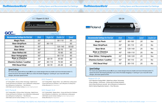CCC.

#### *TheRhinestoneWorld Cutting Specs and Recommended Cut Settings TheRhinestoneWorld Cutting Specs and Recommended Cut Settings*

| <b>ut</b> | <b>Blade</b> | Pressure | Speed | <b>Double Cut</b> |
|-----------|--------------|----------|-------|-------------------|
|           | $65^\circ$   | 80-100   | 20    | Yes               |
|           | $65^\circ$   | 90-110   | 25    | <b>No</b>         |
|           | $65^\circ$   | 120-140  | 25    | Yes               |
|           | $45^\circ$   | 100-110  | 25    | <b>No</b>         |
|           | $65^\circ$   | 100-120  | 25    | Yes               |
|           | $65^\circ$   | 90-110   | 25    | <b>No</b>         |
|           | $45^{\circ}$ | 90-110   | 25    | <b>No</b>         |

### GCC Expert 2

*- 23.2" Cutting Width - Stepper Motor - Up to 400mm/sec cutting speed - Comes with Great Cut 3 Software - Up to 250 grams of cutting force*

- 
- 
- *90 Day Warranty (After Registration)*

### GCC Expert 2LX

*- 23.2" Cutting Width - Stepper Motor - Comes with Great Cut 3 Software - Up to 250 grams of cutting force - Up to 400mm/sec cutting speed - AAS II Optic Lens for Contour Cutting (Automatic-Aligning System)*



- 
- 
- 
- *90 Day Warranty (After Registration)*



#### *Speed Settings*

For most cuts, speed will be around **60**. As you create designs that are smaller and more intricate *(under 5"),* speed should be decreased to **30**. If you notice the blade dragging or "picking at" your vinyl with small designs, decrease speed further.

#### GCC **Expert 2 | 2LX**

 $\mathsf{P}$  Expert $I\!\!R$ 

| <b>Recommended Settings For First Cut</b>            | <b>Blade</b> | Single Cut | Double Cut | Speed |
|------------------------------------------------------|--------------|------------|------------|-------|
| <b>Magic Flock</b>                                   | $65^\circ$   |            | 90-110     | 50    |
| <b>Siser StripFlock</b>                              | $65^\circ$   | 90-110     |            | 60    |
| <b>Siser Brick</b>                                   | $65^\circ$   |            | 120-140    | 50-60 |
| <b>Siser Glitter</b>                                 | $65^\circ$   |            | 60-70      | 60    |
| <b>Siser Reflect All</b>                             | $65^\circ$   |            | 70-90      | 60    |
| <b>Siser Holographic</b>                             | $65^\circ$   |            | 90-110     | 60    |
| <b>Siser or Chemica</b><br>(Non-Glitter/Non-Leather) | $45^\circ$   | 60-70      | 40-60      | 60    |
| <b>Chemica Carbon / Leather</b>                      | $65^\circ$   | 90-110     | 70-90      | 60    |
| <b>FDC Decal Vinyl</b>                               | $45^\circ$   | 50-70      | $25 - 35$  | 60    |
|                                                      |              |            |            |       |

#### *Cutting Pressure*

### GCC Jaguar IV

- *24" Cutting Width DC Servo Motor Technology Digital Screen*
- *Comes with Great Cut 3 Software Up to 1530mm/sec cutting speed*
- *Up to 600 grams of cutting force 1 Year Warranty*
- *AAS II Optic Lens for Contour Cutting (Automatic-Aligning System)*

### GCC Puma III

- *23.2" Cutting Width DC Servo Motor Technology Digital Screen*
- *Comes with Great Cut 3 Software Up to 600mm/sec cutting speed*
- *Up to 400 grams of cutting force 1 Year Warranty*
- *AAS II Optic Lens for Contour Cutting (Automatic-Aligning System)*

#### Roland GS-24

- *22.9" Maximum Cutting Width Digital Servo Motor Technology*
- *8 User Settings LCD Screen Comes with Cut Studio Software*
- *Up to 20 ips (inches per second) Up to 250 grams of cutting force*
- *Built-In Optical Registration System 2 Year Warranty*

#### *Speed Settings*

For most cuts, speed will be around **25**. As you create designs that are smaller and more intricate *(under 5"),* speed should be decreased gradually. If you notice the blade dragging or "picking at" your vinyl with small designs, decrease speed further.

**Magic Flock** *65° 80-100 20 Yes*

**Siser StripFlock** *65° 90-110 25 No*

**Siser Brick** *65° 120-140 25 Yes*

**Siser or Chemica**  *(Non-Glitter/Non-Leather) 45° 100-110 25 No*

**Siser Glitter / Holographic** 

**Chemica Carbon / Leather** *65° 90-110 25 No*

#### **FDC Decal Vinyl** *45° 90-110 25 No*



*Recommended Settings For First L*